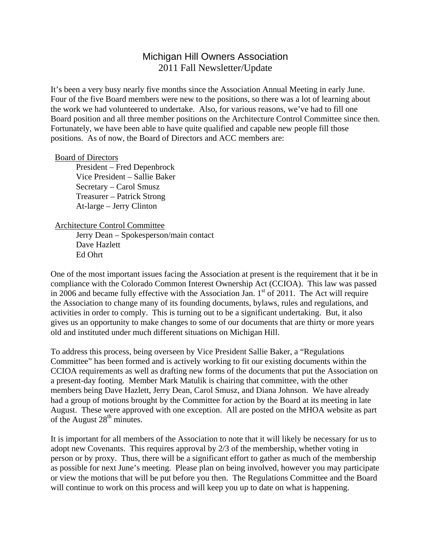## Michigan Hill Owners Association 2011 Fall Newsletter/Update

It's been a very busy nearly five months since the Association Annual Meeting in early June. Four of the five Board members were new to the positions, so there was a lot of learning about the work we had volunteered to undertake. Also, for various reasons, we've had to fill one Board position and all three member positions on the Architecture Control Committee since then. Fortunately, we have been able to have quite qualified and capable new people fill those positions. As of now, the Board of Directors and ACC members are:

## Board of Directors

 President – Fred Depenbrock Vice President – Sallie Baker Secretary – Carol Smusz Treasurer – Patrick Strong At-large – Jerry Clinton

## Architecture Control Committee

 Jerry Dean – Spokesperson/main contact Dave Hazlett Ed Ohrt

One of the most important issues facing the Association at present is the requirement that it be in compliance with the Colorado Common Interest Ownership Act (CCIOA). This law was passed in 2006 and became fully effective with the Association Jan.  $1<sup>st</sup>$  of 2011. The Act will require the Association to change many of its founding documents, bylaws, rules and regulations, and activities in order to comply. This is turning out to be a significant undertaking. But, it also gives us an opportunity to make changes to some of our documents that are thirty or more years old and instituted under much different situations on Michigan Hill.

To address this process, being overseen by Vice President Sallie Baker, a "Regulations Committee" has been formed and is actively working to fit our existing documents within the CCIOA requirements as well as drafting new forms of the documents that put the Association on a present-day footing. Member Mark Matulik is chairing that committee, with the other members being Dave Hazlett, Jerry Dean, Carol Smusz, and Diana Johnson. We have already had a group of motions brought by the Committee for action by the Board at its meeting in late August. These were approved with one exception. All are posted on the MHOA website as part of the August 28<sup>th</sup> minutes.

It is important for all members of the Association to note that it will likely be necessary for us to adopt new Covenants. This requires approval by 2/3 of the membership, whether voting in person or by proxy. Thus, there will be a significant effort to gather as much of the membership as possible for next June's meeting. Please plan on being involved, however you may participate or view the motions that will be put before you then. The Regulations Committee and the Board will continue to work on this process and will keep you up to date on what is happening.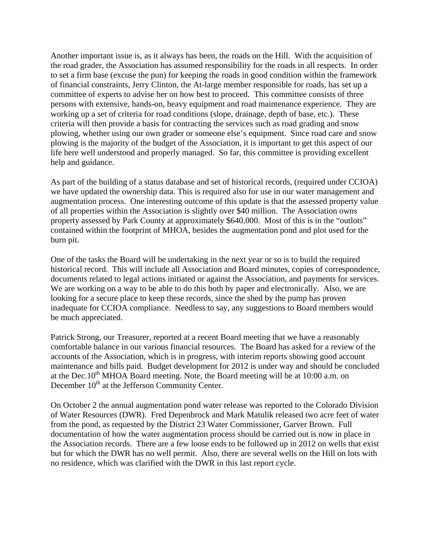Another important issue is, as it always has been, the roads on the Hill. With the acquisition of the road grader, the Association has assumed responsibility for the roads in all respects. In order to set a firm base (excuse the pun) for keeping the roads in good condition within the framework of financial constraints, Jerry Clinton, the At-large member responsible for roads, has set up a committee of experts to advise her on how best to proceed. This committee consists of three persons with extensive, hands-on, heavy equipment and road maintenance experience. They are working up a set of criteria for road conditions (slope, drainage, depth of base, etc.). These criteria will then provide a basis for contracting the services such as road grading and snow plowing, whether using our own grader or someone else's equipment. Since road care and snow plowing is the majority of the budget of the Association, it is important to get this aspect of our life here well understood and properly managed. So far, this committee is providing excellent help and guidance.

As part of the building of a status database and set of historical records, (required under CCIOA) we have updated the ownership data. This is required also for use in our water management and augmentation process. One interesting outcome of this update is that the assessed property value of all properties within the Association is slightly over \$40 million. The Association owns property assessed by Park County at approximately \$640,000. Most of this is in the "outlots" contained within the footprint of MHOA, besides the augmentation pond and plot used for the burn pit.

One of the tasks the Board will be undertaking in the next year or so is to build the required historical record. This will include all Association and Board minutes, copies of correspondence, documents related to legal actions initiated or against the Association, and payments for services. We are working on a way to be able to do this both by paper and electronically. Also, we are looking for a secure place to keep these records, since the shed by the pump has proven inadequate for CCIOA compliance. Needless to say, any suggestions to Board members would be much appreciated.

Patrick Strong, our Treasurer, reported at a recent Board meeting that we have a reasonably comfortable balance in our various financial resources. The Board has asked for a review of the accounts of the Association, which is in progress, with interim reports showing good account maintenance and bills paid. Budget development for 2012 is under way and should be concluded at the Dec.10<sup>th</sup> MHOA Board meeting. Note, the Board meeting will be at 10:00 a.m. on December  $10<sup>th</sup>$  at the Jefferson Community Center.

On October 2 the annual augmentation pond water release was reported to the Colorado Division of Water Resources (DWR). Fred Depenbrock and Mark Matulik released two acre feet of water from the pond, as requested by the District 23 Water Commissioner, Garver Brown. Full documentation of how the water augmentation process should be carried out is now in place in the Association records. There are a few loose ends to be followed up in 2012 on wells that exist but for which the DWR has no well permit. Also, there are several wells on the Hill on lots with no residence, which was clarified with the DWR in this last report cycle.